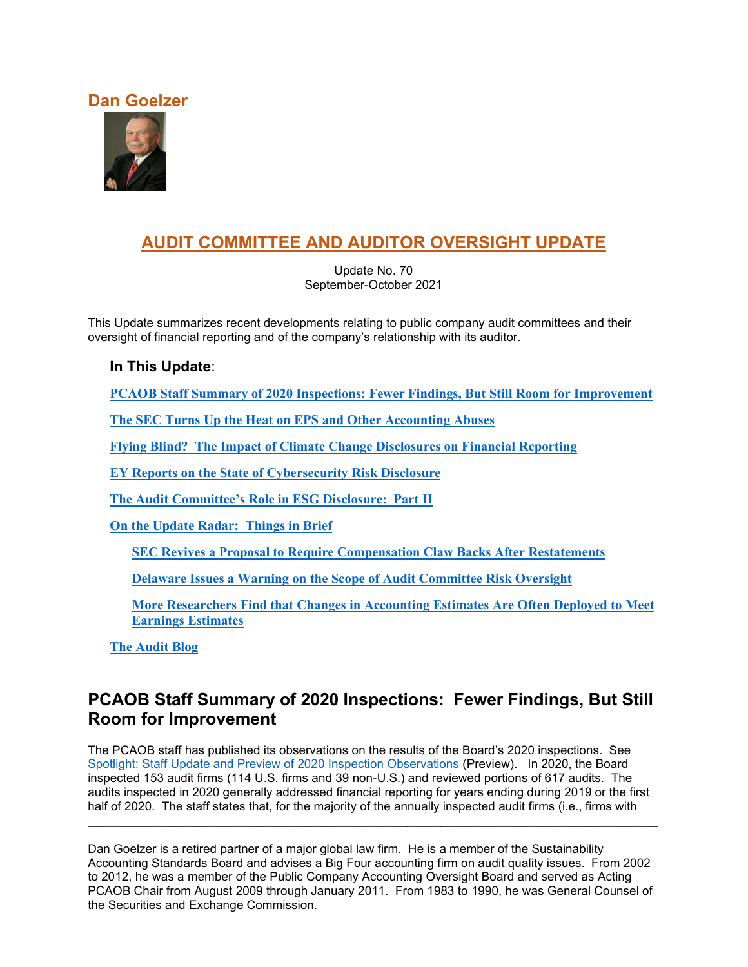### **Dan Goelzer**



# **AUDIT COMMITTEE AND AUDITOR OVERSIGHT UPDATE**

Update No. 70 September-October 2021

This Update summarizes recent developments relating to public company audit committees and their oversight of financial reporting and of the company's relationship with its auditor.

### **In This Update**:

**[PCAOB Staff Summary of 2020 Inspections: Fewer Findings, But Still Room for Improvement](#page-0-0)**

**[The SEC Turns Up the Heat on EPS and Other Accounting Abuses](#page-2-0)**

**[Flying Blind? The Impact of Climate Change Disclosures on Financial Reporting](#page-4-0)**

**[EY Reports on the State of Cybersecurity Risk Disclosure](#page-8-0)**

**[The Audit Committee's Role in ESG Disclosure: Part II](#page-10-0)**

**[On the Update Radar: Things in Brief](#page-12-0)**

**[SEC Revives a Proposal to Require Compensation Claw](#page-12-1) Backs After Restatements**

**[Delaware Issues a Warning on the Scope of Audit Committee Risk Oversight](#page-12-2)**

**[More Researchers Find that Changes in Accounting Estimates Are Often Deployed to Meet](#page-13-0)  [Earnings Estimates](#page-13-0)**

**[The Audit Blog](#page-13-1)**

### <span id="page-0-0"></span>**PCAOB Staff Summary of 2020 Inspections: Fewer Findings, But Still Room for Improvement**

The PCAOB staff has published its observations on the results of the Board's 2020 inspections. See [Spotlight: Staff Update and Preview of 2020 Inspection Observations](https://pcaob-assets.azureedge.net/pcaob-dev/docs/default-source/documents/staff-preview-2020-inspection-observations-spotlight.pdf?sfvrsn=10819041_4) (Preview). In 2020, the Board inspected 153 audit firms (114 U.S. firms and 39 non-U.S.) and reviewed portions of 617 audits. The audits inspected in 2020 generally addressed financial reporting for years ending during 2019 or the first half of 2020. The staff states that, for the majority of the annually inspected audit firms (i.e., firms with

Dan Goelzer is a retired partner of a major global law firm. He is a member of the Sustainability Accounting Standards Board and advises a Big Four accounting firm on audit quality issues. From 2002 to 2012, he was a member of the Public Company Accounting Oversight Board and served as Acting PCAOB Chair from August 2009 through January 2011. From 1983 to 1990, he was General Counsel of the Securities and Exchange Commission.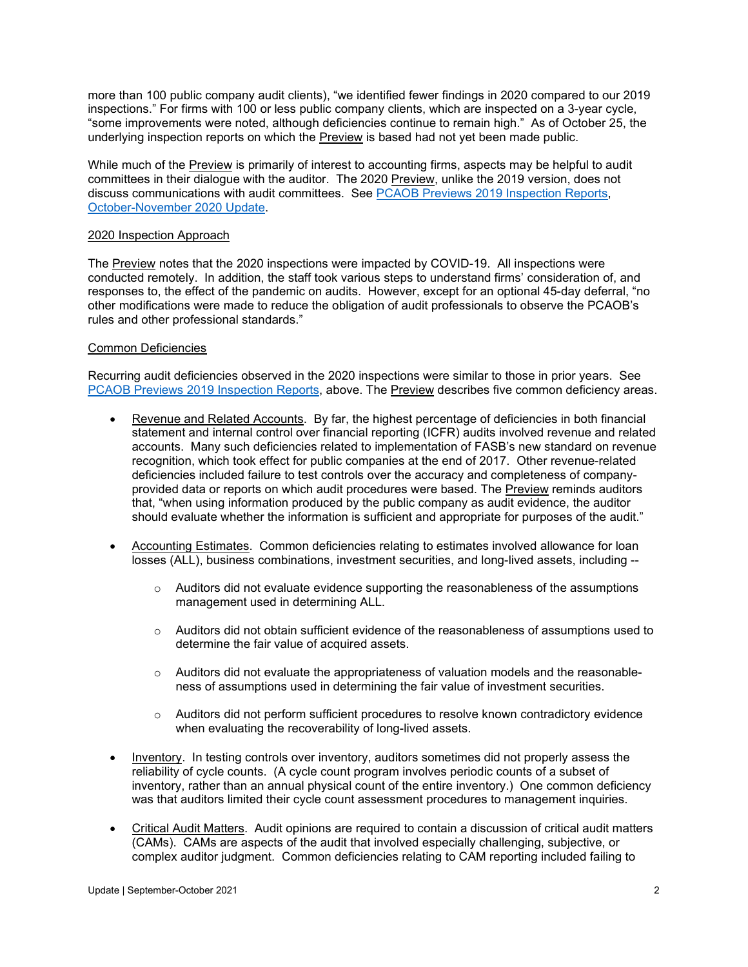more than 100 public company audit clients), "we identified fewer findings in 2020 compared to our 2019 inspections." For firms with 100 or less public company clients, which are inspected on a 3-year cycle, "some improvements were noted, although deficiencies continue to remain high." As of October 25, the underlying inspection reports on which the Preview is based had not yet been made public.

While much of the Preview is primarily of interest to accounting firms, aspects may be helpful to audit committees in their dialogue with the auditor. The 2020 Preview, unlike the 2019 version, does not discuss communications with audit committees. See [PCAOB Previews 2019 Inspection Reports,](https://www.auditupdate.com/post/pcaob-previews-2019-inspection-reports) [October-November 2020 Update.](https://b65438bf-9321-45db-8f57-d57780f6c776.filesusr.com/ugd/6ebb47_ce978c7c2c5443648801b491ce8b6685.pdf)

#### 2020 Inspection Approach

The Preview notes that the 2020 inspections were impacted by COVID-19. All inspections were conducted remotely. In addition, the staff took various steps to understand firms' consideration of, and responses to, the effect of the pandemic on audits. However, except for an optional 45-day deferral, "no other modifications were made to reduce the obligation of audit professionals to observe the PCAOB's rules and other professional standards."

#### Common Deficiencies

Recurring audit deficiencies observed in the 2020 inspections were similar to those in prior years. See [PCAOB Previews 2019 Inspection Reports,](https://www.auditupdate.com/post/pcaob-previews-2019-inspection-reports) above. The Preview describes five common deficiency areas.

- Revenue and Related Accounts. By far, the highest percentage of deficiencies in both financial statement and internal control over financial reporting (ICFR) audits involved revenue and related accounts. Many such deficiencies related to implementation of FASB's new standard on revenue recognition, which took effect for public companies at the end of 2017. Other revenue-related deficiencies included failure to test controls over the accuracy and completeness of companyprovided data or reports on which audit procedures were based. The Preview reminds auditors that, "when using information produced by the public company as audit evidence, the auditor should evaluate whether the information is sufficient and appropriate for purposes of the audit."
- Accounting Estimates. Common deficiencies relating to estimates involved allowance for loan losses (ALL), business combinations, investment securities, and long-lived assets, including --
	- $\circ$  Auditors did not evaluate evidence supporting the reasonableness of the assumptions management used in determining ALL.
	- o Auditors did not obtain sufficient evidence of the reasonableness of assumptions used to determine the fair value of acquired assets.
	- $\circ$  Auditors did not evaluate the appropriateness of valuation models and the reasonableness of assumptions used in determining the fair value of investment securities.
	- o Auditors did not perform sufficient procedures to resolve known contradictory evidence when evaluating the recoverability of long-lived assets.
- Inventory. In testing controls over inventory, auditors sometimes did not properly assess the reliability of cycle counts. (A cycle count program involves periodic counts of a subset of inventory, rather than an annual physical count of the entire inventory.) One common deficiency was that auditors limited their cycle count assessment procedures to management inquiries.
- Critical Audit Matters. Audit opinions are required to contain a discussion of critical audit matters (CAMs). CAMs are aspects of the audit that involved especially challenging, subjective, or complex auditor judgment. Common deficiencies relating to CAM reporting included failing to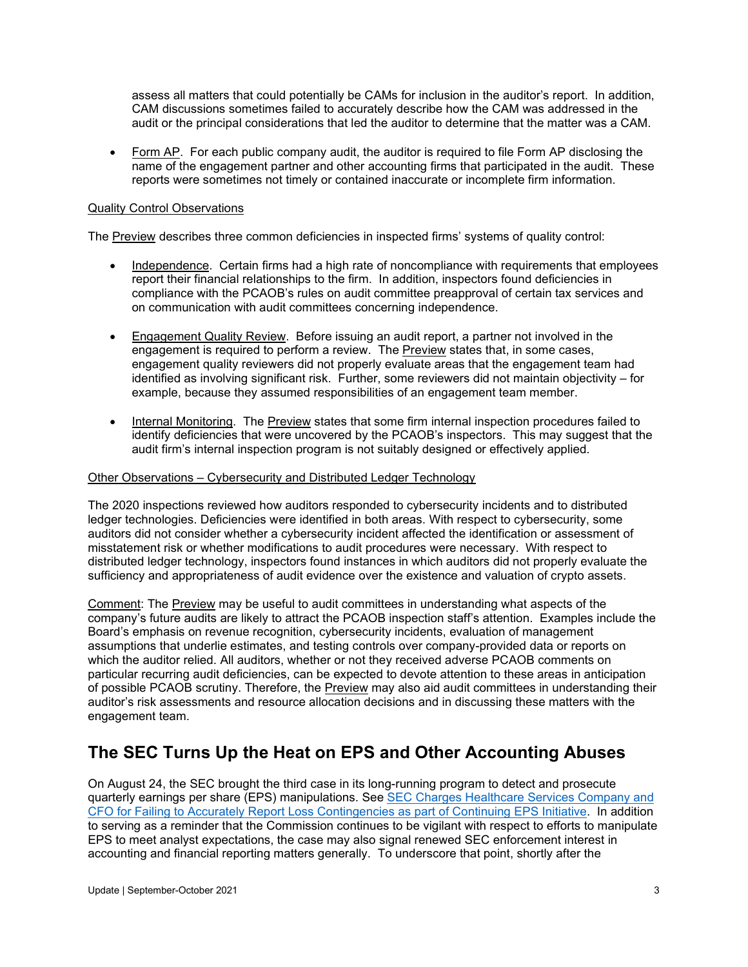assess all matters that could potentially be CAMs for inclusion in the auditor's report. In addition, CAM discussions sometimes failed to accurately describe how the CAM was addressed in the audit or the principal considerations that led the auditor to determine that the matter was a CAM.

• Form AP. For each public company audit, the auditor is required to file Form AP disclosing the name of the engagement partner and other accounting firms that participated in the audit. These reports were sometimes not timely or contained inaccurate or incomplete firm information.

#### Quality Control Observations

The Preview describes three common deficiencies in inspected firms' systems of quality control:

- Independence. Certain firms had a high rate of noncompliance with requirements that employees report their financial relationships to the firm. In addition, inspectors found deficiencies in compliance with the PCAOB's rules on audit committee preapproval of certain tax services and on communication with audit committees concerning independence.
- Engagement Quality Review. Before issuing an audit report, a partner not involved in the engagement is required to perform a review. The Preview states that, in some cases, engagement quality reviewers did not properly evaluate areas that the engagement team had identified as involving significant risk. Further, some reviewers did not maintain objectivity – for example, because they assumed responsibilities of an engagement team member.
- Internal Monitoring. The Preview states that some firm internal inspection procedures failed to identify deficiencies that were uncovered by the PCAOB's inspectors. This may suggest that the audit firm's internal inspection program is not suitably designed or effectively applied.

#### Other Observations – Cybersecurity and Distributed Ledger Technology

The 2020 inspections reviewed how auditors responded to cybersecurity incidents and to distributed ledger technologies. Deficiencies were identified in both areas. With respect to cybersecurity, some auditors did not consider whether a cybersecurity incident affected the identification or assessment of misstatement risk or whether modifications to audit procedures were necessary. With respect to distributed ledger technology, inspectors found instances in which auditors did not properly evaluate the sufficiency and appropriateness of audit evidence over the existence and valuation of crypto assets.

Comment: The Preview may be useful to audit committees in understanding what aspects of the company's future audits are likely to attract the PCAOB inspection staff's attention. Examples include the Board's emphasis on revenue recognition, cybersecurity incidents, evaluation of management assumptions that underlie estimates, and testing controls over company-provided data or reports on which the auditor relied. All auditors, whether or not they received adverse PCAOB comments on particular recurring audit deficiencies, can be expected to devote attention to these areas in anticipation of possible PCAOB scrutiny. Therefore, the Preview may also aid audit committees in understanding their auditor's risk assessments and resource allocation decisions and in discussing these matters with the engagement team.

## <span id="page-2-0"></span>**The SEC Turns Up the Heat on EPS and Other Accounting Abuses**

On August 24, the SEC brought the third case in its long-running program to detect and prosecute quarterly earnings per share (EPS) manipulations. See [SEC Charges Healthcare Services Company and](https://www.sec.gov/news/press-release/2021-162)  [CFO for Failing to Accurately Report Loss Contingencies as part of Continuing EPS Initiative.](https://www.sec.gov/news/press-release/2021-162) In addition to serving as a reminder that the Commission continues to be vigilant with respect to efforts to manipulate EPS to meet analyst expectations, the case may also signal renewed SEC enforcement interest in accounting and financial reporting matters generally. To underscore that point, shortly after the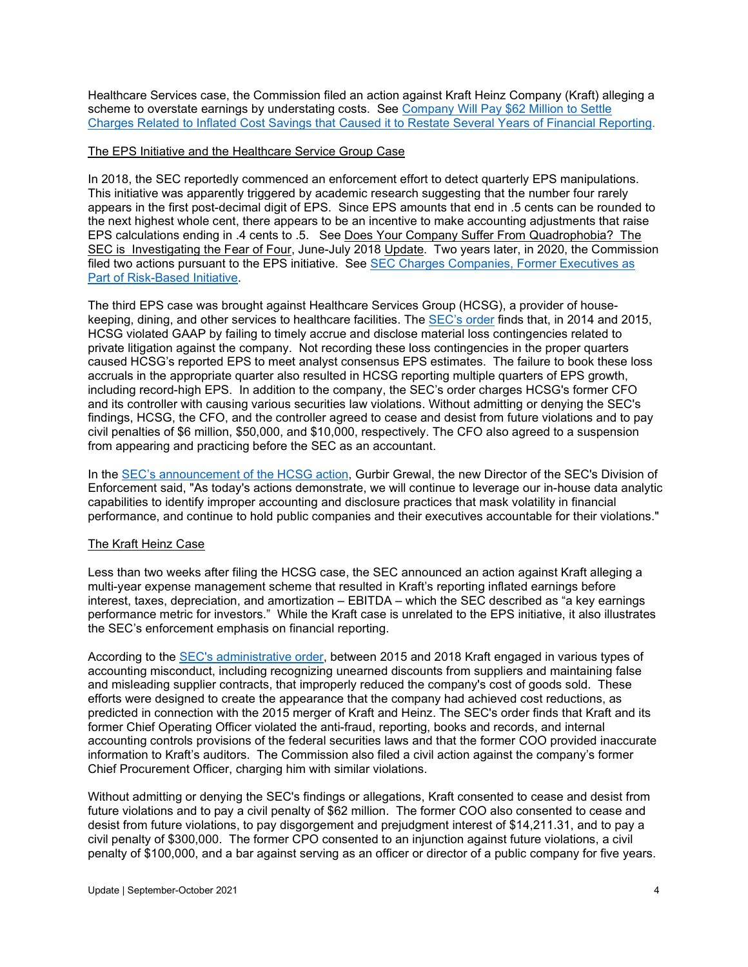Healthcare Services case, the Commission filed an action against Kraft Heinz Company (Kraft) alleging a scheme to overstate earnings by understating costs. See Company Will Pay \$62 Million to Settle [Charges Related to Inflated Cost Savings that Caused it to Restate Several Years of Financial Reporting.](https://www.sec.gov/news/press-release/2021-174)

#### The EPS Initiative and the Healthcare Service Group Case

In 2018, the SEC reportedly commenced an enforcement effort to detect quarterly EPS manipulations. This initiative was apparently triggered by academic research suggesting that the number four rarely appears in the first post-decimal digit of EPS. Since EPS amounts that end in .5 cents can be rounded to the next highest whole cent, there appears to be an incentive to make accounting adjustments that raise EPS calculations ending in .4 cents to .5. See Does Your Company Suffer From Quadrophobia? The SEC is Investigating the Fear of Four, June-July 2018 Update. Two years later, in 2020, the Commission filed two actions pursuant to the EPS initiative. See SEC Charges Companies, Former Executives as [Part of Risk-Based Initiative.](https://www.sec.gov/news/press-release/2020-226)

The third EPS case was brought against Healthcare Services Group (HCSG), a provider of housekeeping, dining, and other services to healthcare facilities. The [SEC's order](https://www.sec.gov/litigation/admin/2021/33-10967.pdf) finds that, in 2014 and 2015, HCSG violated GAAP by failing to timely accrue and disclose material loss contingencies related to private litigation against the company. Not recording these loss contingencies in the proper quarters caused HCSG's reported EPS to meet analyst consensus EPS estimates. The failure to book these loss accruals in the appropriate quarter also resulted in HCSG reporting multiple quarters of EPS growth, including record-high EPS. In addition to the company, the SEC's order charges HCSG's former CFO and its controller with causing various securities law violations. Without admitting or denying the SEC's findings, HCSG, the CFO, and the controller agreed to cease and desist from future violations and to pay civil penalties of \$6 million, \$50,000, and \$10,000, respectively. The CFO also agreed to a suspension from appearing and practicing before the SEC as an accountant.

In the [SEC's announcement of the HCSG action,](https://www.sec.gov/news/press-release/2021-162) Gurbir Grewal, the new Director of the SEC's Division of Enforcement said, "As today's actions demonstrate, we will continue to leverage our in-house data analytic capabilities to identify improper accounting and disclosure practices that mask volatility in financial performance, and continue to hold public companies and their executives accountable for their violations."

#### The Kraft Heinz Case

Less than two weeks after filing the HCSG case, the SEC announced an action against Kraft alleging a multi-year expense management scheme that resulted in Kraft's reporting inflated earnings before interest, taxes, depreciation, and amortization – EBITDA – which the SEC described as "a key earnings performance metric for investors." While the Kraft case is unrelated to the EPS initiative, it also illustrates the SEC's enforcement emphasis on financial reporting.

According to the [SEC's administrative order,](https://www.sec.gov/news/press-release/2021-174) between 2015 and 2018 Kraft engaged in various types of accounting misconduct, including recognizing unearned discounts from suppliers and maintaining false and misleading supplier contracts, that improperly reduced the company's cost of goods sold. These efforts were designed to create the appearance that the company had achieved cost reductions, as predicted in connection with the 2015 merger of Kraft and Heinz. The SEC's order finds that Kraft and its former Chief Operating Officer violated the anti-fraud, reporting, books and records, and internal accounting controls provisions of the federal securities laws and that the former COO provided inaccurate information to Kraft's auditors. The Commission also filed a civil action against the company's former Chief Procurement Officer, charging him with similar violations.

Without admitting or denying the SEC's findings or allegations, Kraft consented to cease and desist from future violations and to pay a civil penalty of \$62 million. The former COO also consented to cease and desist from future violations, to pay disgorgement and prejudgment interest of \$14,211.31, and to pay a civil penalty of \$300,000. The former CPO consented to an injunction against future violations, a civil penalty of \$100,000, and a bar against serving as an officer or director of a public company for five years.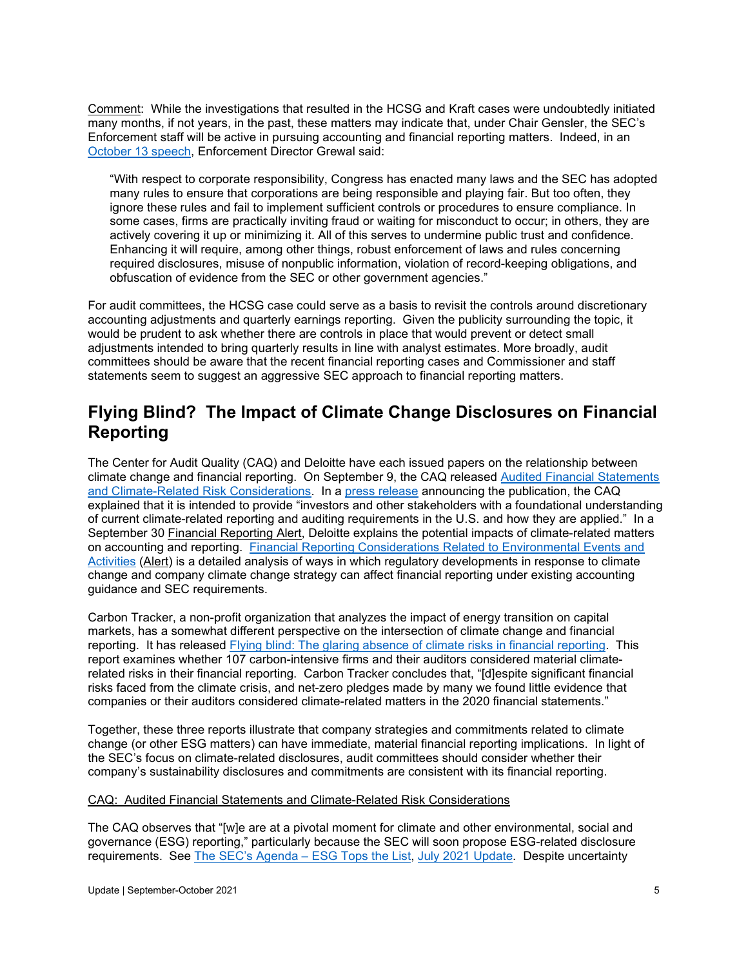Comment: While the investigations that resulted in the HCSG and Kraft cases were undoubtedly initiated many months, if not years, in the past, these matters may indicate that, under Chair Gensler, the SEC's Enforcement staff will be active in pursuing accounting and financial reporting matters. Indeed, in an [October 13 speech,](https://www.sec.gov/news/speech/grewal-sec-speaks-101321) Enforcement Director Grewal said:

"With respect to corporate responsibility, Congress has enacted many laws and the SEC has adopted many rules to ensure that corporations are being responsible and playing fair. But too often, they ignore these rules and fail to implement sufficient controls or procedures to ensure compliance. In some cases, firms are practically inviting fraud or waiting for misconduct to occur; in others, they are actively covering it up or minimizing it. All of this serves to undermine public trust and confidence. Enhancing it will require, among other things, robust enforcement of laws and rules concerning required disclosures, misuse of nonpublic information, violation of record-keeping obligations, and obfuscation of evidence from the SEC or other government agencies."

For audit committees, the HCSG case could serve as a basis to revisit the controls around discretionary accounting adjustments and quarterly earnings reporting. Given the publicity surrounding the topic, it would be prudent to ask whether there are controls in place that would prevent or detect small adjustments intended to bring quarterly results in line with analyst estimates. More broadly, audit committees should be aware that the recent financial reporting cases and Commissioner and staff statements seem to suggest an aggressive SEC approach to financial reporting matters.

### <span id="page-4-0"></span>**Flying Blind? The Impact of Climate Change Disclosures on Financial Reporting**

The Center for Audit Quality (CAQ) and Deloitte have each issued papers on the relationship between climate change and financial reporting. On September 9, the CAQ released [Audited Financial Statements](https://www.thecaq.org/news/center-for-audit-quality-resource-highlights-how-climate-related-risk-considerations-intersect-with-the-audited-financial-statements/)  [and Climate-Related Risk Considerations.](https://www.thecaq.org/news/center-for-audit-quality-resource-highlights-how-climate-related-risk-considerations-intersect-with-the-audited-financial-statements/) In a [press release](https://www.thecaq.org/news/center-for-audit-quality-resource-highlights-how-climate-related-risk-considerations-intersect-with-the-audited-financial-statements/) announcing the publication, the CAQ explained that it is intended to provide "investors and other stakeholders with a foundational understanding of current climate-related reporting and auditing requirements in the U.S. and how they are applied." In a September 30 Financial Reporting Alert, Deloitte explains the potential impacts of climate-related matters on accounting and reporting. [Financial Reporting Considerations Related to Environmental Events and](https://dart.deloitte.com/USDART/home/publications/deloitte/financial-reporting-alerts/2021/environmental-events)  [Activities](https://dart.deloitte.com/USDART/home/publications/deloitte/financial-reporting-alerts/2021/environmental-events) (Alert) is a detailed analysis of ways in which regulatory developments in response to climate change and company climate change strategy can affect financial reporting under existing accounting guidance and SEC requirements.

Carbon Tracker, a non-profit organization that analyzes the impact of energy transition on capital markets, has a somewhat different perspective on the intersection of climate change and financial reporting. It has released [Flying blind: The glaring absence of climate risks in financial reporting.](https://carbontracker.org/reports/flying-blind-the-glaring-absence-of-climate-risks-in-financial-reporting/) This report examines whether 107 carbon-intensive firms and their auditors considered material climaterelated risks in their financial reporting. Carbon Tracker concludes that, "[d]espite significant financial risks faced from the climate crisis, and net-zero pledges made by many we found little evidence that companies or their auditors considered climate-related matters in the 2020 financial statements."

Together, these three reports illustrate that company strategies and commitments related to climate change (or other ESG matters) can have immediate, material financial reporting implications. In light of the SEC's focus on climate-related disclosures, audit committees should consider whether their company's sustainability disclosures and commitments are consistent with its financial reporting.

#### CAQ: Audited Financial Statements and Climate-Related Risk Considerations

The CAQ observes that "[w]e are at a pivotal moment for climate and other environmental, social and governance (ESG) reporting," particularly because the SEC will soon propose ESG-related disclosure requirements. See [The SEC's Agenda –](https://www.auditupdate.com/post/the-sec-s-agenda-esg-tops-the-list) ESG Tops the List, [July 2021 Update.](https://b65438bf-9321-45db-8f57-d57780f6c776.filesusr.com/ugd/6ebb47_7e3aac1cbf8846bb985711757979866a.pdf) Despite uncertainty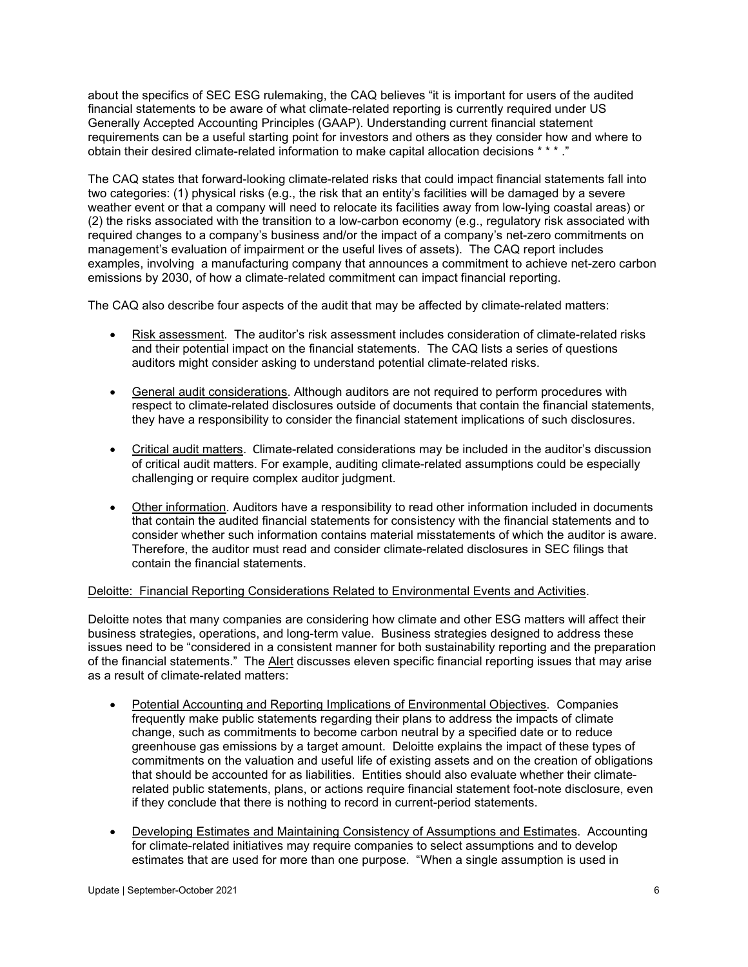about the specifics of SEC ESG rulemaking, the CAQ believes "it is important for users of the audited financial statements to be aware of what climate-related reporting is currently required under US Generally Accepted Accounting Principles (GAAP). Understanding current financial statement requirements can be a useful starting point for investors and others as they consider how and where to obtain their desired climate-related information to make capital allocation decisions \* \* \* ."

The CAQ states that forward-looking climate-related risks that could impact financial statements fall into two categories: (1) physical risks (e.g., the risk that an entity's facilities will be damaged by a severe weather event or that a company will need to relocate its facilities away from low-lying coastal areas) or (2) the risks associated with the transition to a low-carbon economy (e.g., regulatory risk associated with required changes to a company's business and/or the impact of a company's net-zero commitments on management's evaluation of impairment or the useful lives of assets). The CAQ report includes examples, involving a manufacturing company that announces a commitment to achieve net-zero carbon emissions by 2030, of how a climate-related commitment can impact financial reporting.

The CAQ also describe four aspects of the audit that may be affected by climate-related matters:

- Risk assessment. The auditor's risk assessment includes consideration of climate-related risks and their potential impact on the financial statements. The CAQ lists a series of questions auditors might consider asking to understand potential climate-related risks.
- General audit considerations. Although auditors are not required to perform procedures with respect to climate-related disclosures outside of documents that contain the financial statements, they have a responsibility to consider the financial statement implications of such disclosures.
- Critical audit matters. Climate-related considerations may be included in the auditor's discussion of critical audit matters. For example, auditing climate-related assumptions could be especially challenging or require complex auditor judgment.
- Other information. Auditors have a responsibility to read other information included in documents that contain the audited financial statements for consistency with the financial statements and to consider whether such information contains material misstatements of which the auditor is aware. Therefore, the auditor must read and consider climate-related disclosures in SEC filings that contain the financial statements.

#### Deloitte: Financial Reporting Considerations Related to Environmental Events and Activities.

Deloitte notes that many companies are considering how climate and other ESG matters will affect their business strategies, operations, and long-term value. Business strategies designed to address these issues need to be "considered in a consistent manner for both sustainability reporting and the preparation of the financial statements." The Alert discusses eleven specific financial reporting issues that may arise as a result of climate-related matters:

- Potential Accounting and Reporting Implications of Environmental Objectives. Companies frequently make public statements regarding their plans to address the impacts of climate change, such as commitments to become carbon neutral by a specified date or to reduce greenhouse gas emissions by a target amount. Deloitte explains the impact of these types of commitments on the valuation and useful life of existing assets and on the creation of obligations that should be accounted for as liabilities. Entities should also evaluate whether their climaterelated public statements, plans, or actions require financial statement foot-note disclosure, even if they conclude that there is nothing to record in current-period statements.
- Developing Estimates and Maintaining Consistency of Assumptions and Estimates. Accounting for climate-related initiatives may require companies to select assumptions and to develop estimates that are used for more than one purpose. "When a single assumption is used in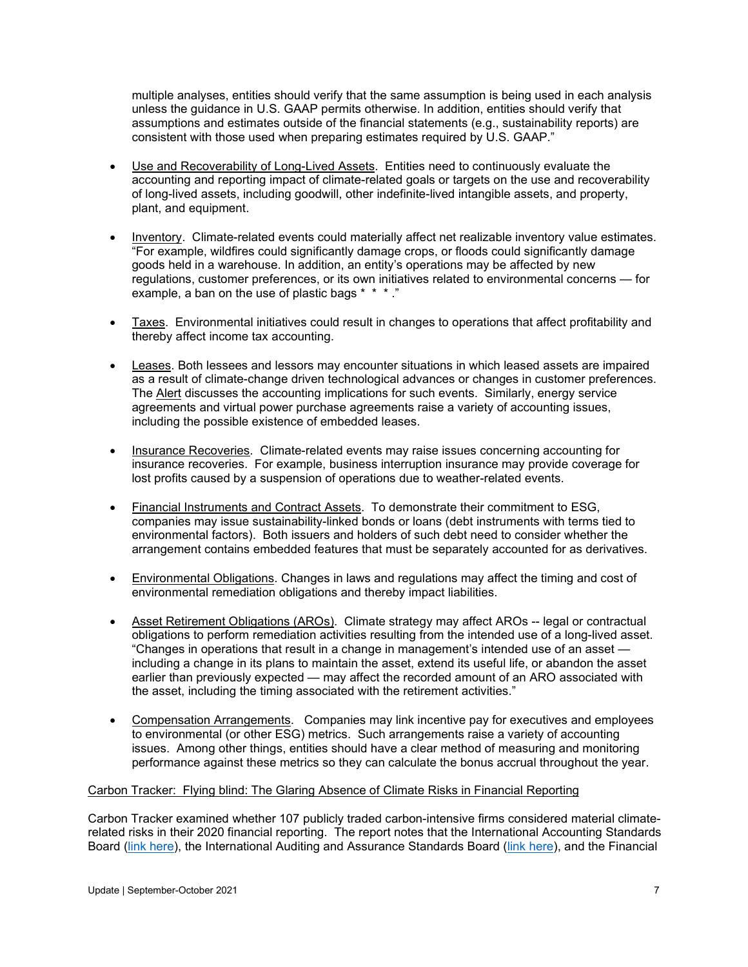multiple analyses, entities should verify that the same assumption is being used in each analysis unless the guidance in U.S. GAAP permits otherwise. In addition, entities should verify that assumptions and estimates outside of the financial statements (e.g., sustainability reports) are consistent with those used when preparing estimates required by U.S. GAAP."

- Use and Recoverability of Long-Lived Assets. Entities need to continuously evaluate the accounting and reporting impact of climate-related goals or targets on the use and recoverability of long-lived assets, including goodwill, other indefinite-lived intangible assets, and property, plant, and equipment.
- Inventory. Climate-related events could materially affect net realizable inventory value estimates. "For example, wildfires could significantly damage crops, or floods could significantly damage goods held in a warehouse. In addition, an entity's operations may be affected by new regulations, customer preferences, or its own initiatives related to environmental concerns — for example, a ban on the use of plastic bags \* \* \*."
- Taxes. Environmental initiatives could result in changes to operations that affect profitability and thereby affect income tax accounting.
- Leases. Both lessees and lessors may encounter situations in which leased assets are impaired as a result of climate-change driven technological advances or changes in customer preferences. The Alert discusses the accounting implications for such events. Similarly, energy service agreements and virtual power purchase agreements raise a variety of accounting issues, including the possible existence of embedded leases.
- Insurance Recoveries. Climate-related events may raise issues concerning accounting for insurance recoveries. For example, business interruption insurance may provide coverage for lost profits caused by a suspension of operations due to weather-related events.
- Financial Instruments and Contract Assets. To demonstrate their commitment to ESG, companies may issue sustainability-linked bonds or loans (debt instruments with terms tied to environmental factors). Both issuers and holders of such debt need to consider whether the arrangement contains embedded features that must be separately accounted for as derivatives.
- Environmental Obligations. Changes in laws and regulations may affect the timing and cost of environmental remediation obligations and thereby impact liabilities.
- Asset Retirement Obligations (AROs). Climate strategy may affect AROs -- legal or contractual obligations to perform remediation activities resulting from the intended use of a long-lived asset. "Changes in operations that result in a change in management's intended use of an asset including a change in its plans to maintain the asset, extend its useful life, or abandon the asset earlier than previously expected — may affect the recorded amount of an ARO associated with the asset, including the timing associated with the retirement activities."
- Compensation Arrangements. Companies may link incentive pay for executives and employees to environmental (or other ESG) metrics. Such arrangements raise a variety of accounting issues. Among other things, entities should have a clear method of measuring and monitoring performance against these metrics so they can calculate the bonus accrual throughout the year.

#### Carbon Tracker: Flying blind: The Glaring Absence of Climate Risks in Financial Reporting

Carbon Tracker examined whether 107 publicly traded carbon-intensive firms considered material climaterelated risks in their 2020 financial reporting. The report notes that the International Accounting Standards Board [\(link here\)](https://www.iaasb.org/publications/consideration-climate-related-risks-audit-financial-statement), the International Auditing and Assurance Standards Board (link here), and the Financial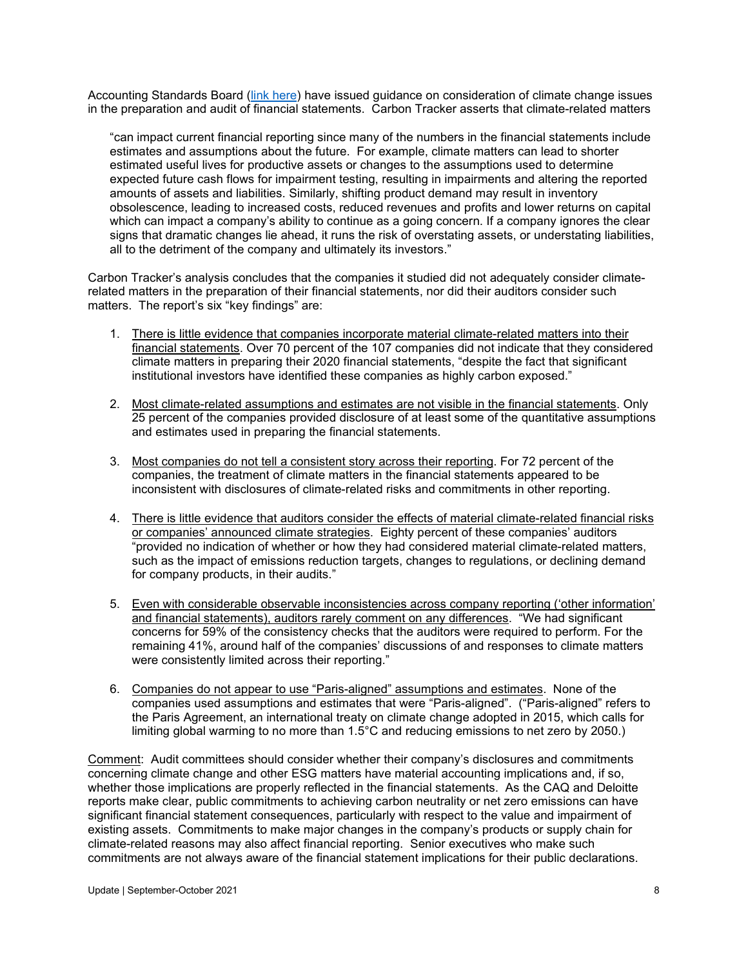Accounting Standards Board [\(link here\)](https://www.fasb.org/cs/ContentServer?c=Document_C&cid=1176176379917&d=&pagename=FASB%2FDocument_C%2FDocumentPage) have issued guidance on consideration of climate change issues in the preparation and audit of financial statements. Carbon Tracker asserts that climate-related matters

"can impact current financial reporting since many of the numbers in the financial statements include estimates and assumptions about the future. For example, climate matters can lead to shorter estimated useful lives for productive assets or changes to the assumptions used to determine expected future cash flows for impairment testing, resulting in impairments and altering the reported amounts of assets and liabilities. Similarly, shifting product demand may result in inventory obsolescence, leading to increased costs, reduced revenues and profits and lower returns on capital which can impact a company's ability to continue as a going concern. If a company ignores the clear signs that dramatic changes lie ahead, it runs the risk of overstating assets, or understating liabilities, all to the detriment of the company and ultimately its investors."

Carbon Tracker's analysis concludes that the companies it studied did not adequately consider climaterelated matters in the preparation of their financial statements, nor did their auditors consider such matters. The report's six "key findings" are:

- 1. There is little evidence that companies incorporate material climate-related matters into their financial statements. Over 70 percent of the 107 companies did not indicate that they considered climate matters in preparing their 2020 financial statements, "despite the fact that significant institutional investors have identified these companies as highly carbon exposed."
- 2. Most climate-related assumptions and estimates are not visible in the financial statements. Only 25 percent of the companies provided disclosure of at least some of the quantitative assumptions and estimates used in preparing the financial statements.
- 3. Most companies do not tell a consistent story across their reporting. For 72 percent of the companies, the treatment of climate matters in the financial statements appeared to be inconsistent with disclosures of climate-related risks and commitments in other reporting.
- 4. There is little evidence that auditors consider the effects of material climate-related financial risks or companies' announced climate strategies. Eighty percent of these companies' auditors "provided no indication of whether or how they had considered material climate-related matters, such as the impact of emissions reduction targets, changes to regulations, or declining demand for company products, in their audits."
- 5. Even with considerable observable inconsistencies across company reporting ('other information' and financial statements), auditors rarely comment on any differences. "We had significant concerns for 59% of the consistency checks that the auditors were required to perform. For the remaining 41%, around half of the companies' discussions of and responses to climate matters were consistently limited across their reporting."
- 6. Companies do not appear to use "Paris-aligned" assumptions and estimates. None of the companies used assumptions and estimates that were "Paris-aligned". ("Paris-aligned" refers to the Paris Agreement, an international treaty on climate change adopted in 2015, which calls for limiting global warming to no more than 1.5°C and reducing emissions to net zero by 2050.)

Comment: Audit committees should consider whether their company's disclosures and commitments concerning climate change and other ESG matters have material accounting implications and, if so, whether those implications are properly reflected in the financial statements. As the CAQ and Deloitte reports make clear, public commitments to achieving carbon neutrality or net zero emissions can have significant financial statement consequences, particularly with respect to the value and impairment of existing assets. Commitments to make major changes in the company's products or supply chain for climate-related reasons may also affect financial reporting. Senior executives who make such commitments are not always aware of the financial statement implications for their public declarations.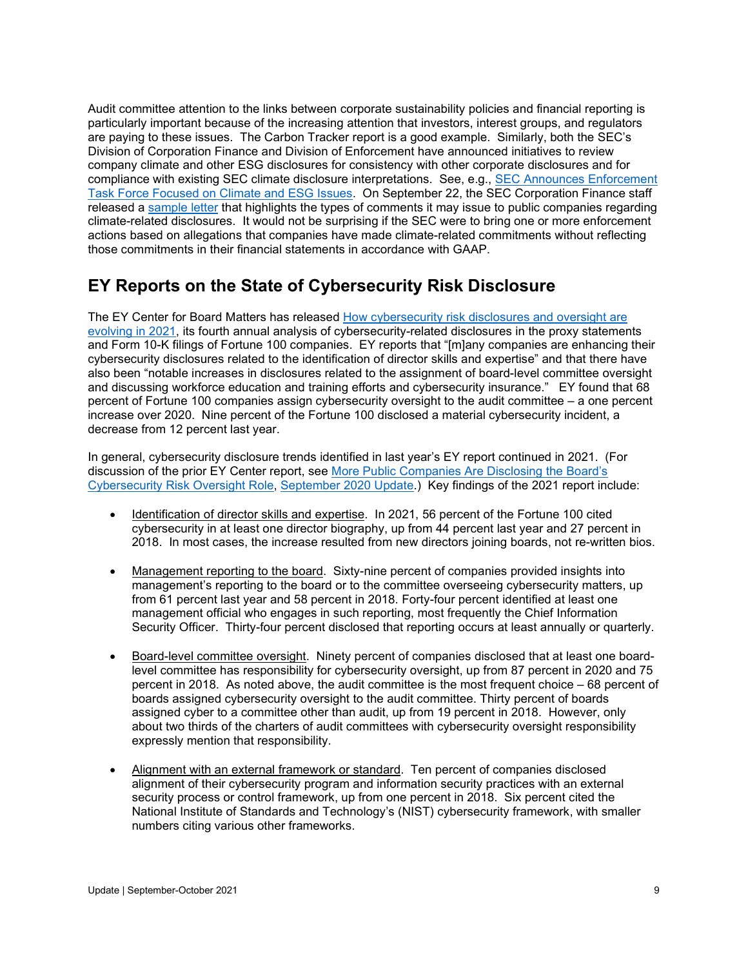Audit committee attention to the links between corporate sustainability policies and financial reporting is particularly important because of the increasing attention that investors, interest groups, and regulators are paying to these issues. The Carbon Tracker report is a good example. Similarly, both the SEC's Division of Corporation Finance and Division of Enforcement have announced initiatives to review company climate and other ESG disclosures for consistency with other corporate disclosures and for compliance with existing SEC climate disclosure interpretations. See, e.g., [SEC Announces Enforcement](https://www.sec.gov/news/press-release/2021-42)  [Task Force Focused on Climate and ESG Issues.](https://www.sec.gov/news/press-release/2021-42) On September 22, the SEC Corporation Finance staff released a [sample letter](https://www.sec.gov/corpfin/sample-letter-climate-change-disclosures) that highlights the types of comments it may issue to public companies regarding climate-related disclosures. It would not be surprising if the SEC were to bring one or more enforcement actions based on allegations that companies have made climate-related commitments without reflecting those commitments in their financial statements in accordance with GAAP.

# <span id="page-8-0"></span>**EY Reports on the State of Cybersecurity Risk Disclosure**

The EY Center for Board Matters has released [How cybersecurity risk disclosures and oversight are](https://www.ey.com/en_us/board-matters/cybersecurity-risk-disclosures-and-oversight)  [evolving in 2021,](https://www.ey.com/en_us/board-matters/cybersecurity-risk-disclosures-and-oversight) its fourth annual analysis of cybersecurity-related disclosures in the proxy statements and Form 10-K filings of Fortune 100 companies. EY reports that "[m]any companies are enhancing their cybersecurity disclosures related to the identification of director skills and expertise" and that there have also been "notable increases in disclosures related to the assignment of board-level committee oversight and discussing workforce education and training efforts and cybersecurity insurance." EY found that 68 percent of Fortune 100 companies assign cybersecurity oversight to the audit committee – a one percent increase over 2020. Nine percent of the Fortune 100 disclosed a material cybersecurity incident, a decrease from 12 percent last year.

In general, cybersecurity disclosure trends identified in last year's EY report continued in 2021. (For discussion of the prior EY Center report, see [More Public Companies Are Disclosing the Board's](https://www.auditupdate.com/post/more-public-companies-are-disclosing-the-board-s-cybersecurity-risk-oversight-role)  [Cybersecurity Risk Oversight Role,](https://www.auditupdate.com/post/more-public-companies-are-disclosing-the-board-s-cybersecurity-risk-oversight-role) [September 2020 Update.](https://b65438bf-9321-45db-8f57-d57780f6c776.filesusr.com/ugd/6ebb47_bf0bd712da624dba921824a26f9557eb.pdf)) Key findings of the 2021 report include:

- Identification of director skills and expertise. In 2021, 56 percent of the Fortune 100 cited cybersecurity in at least one director biography, up from 44 percent last year and 27 percent in 2018. In most cases, the increase resulted from new directors joining boards, not re-written bios.
- Management reporting to the board. Sixty-nine percent of companies provided insights into management's reporting to the board or to the committee overseeing cybersecurity matters, up from 61 percent last year and 58 percent in 2018. Forty-four percent identified at least one management official who engages in such reporting, most frequently the Chief Information Security Officer. Thirty-four percent disclosed that reporting occurs at least annually or quarterly.
- Board-level committee oversight. Ninety percent of companies disclosed that at least one boardlevel committee has responsibility for cybersecurity oversight, up from 87 percent in 2020 and 75 percent in 2018. As noted above, the audit committee is the most frequent choice – 68 percent of boards assigned cybersecurity oversight to the audit committee. Thirty percent of boards assigned cyber to a committee other than audit, up from 19 percent in 2018. However, only about two thirds of the charters of audit committees with cybersecurity oversight responsibility expressly mention that responsibility.
- Alignment with an external framework or standard. Ten percent of companies disclosed alignment of their cybersecurity program and information security practices with an external security process or control framework, up from one percent in 2018. Six percent cited the National Institute of Standards and Technology's (NIST) cybersecurity framework, with smaller numbers citing various other frameworks.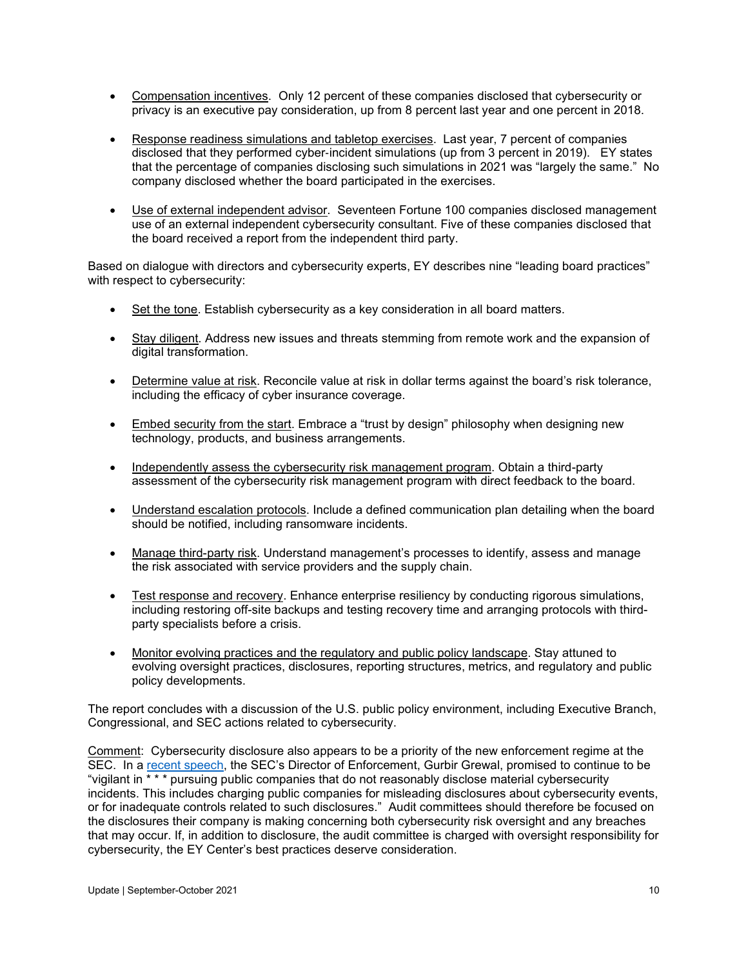- Compensation incentives. Only 12 percent of these companies disclosed that cybersecurity or privacy is an executive pay consideration, up from 8 percent last year and one percent in 2018.
- Response readiness simulations and tabletop exercises. Last year, 7 percent of companies disclosed that they performed cyber-incident simulations (up from 3 percent in 2019). EY states that the percentage of companies disclosing such simulations in 2021 was "largely the same." No company disclosed whether the board participated in the exercises.
- Use of external independent advisor. Seventeen Fortune 100 companies disclosed management use of an external independent cybersecurity consultant. Five of these companies disclosed that the board received a report from the independent third party.

Based on dialogue with directors and cybersecurity experts, EY describes nine "leading board practices" with respect to cybersecurity:

- Set the tone. Establish cybersecurity as a key consideration in all board matters.
- Stay diligent. Address new issues and threats stemming from remote work and the expansion of digital transformation.
- Determine value at risk. Reconcile value at risk in dollar terms against the board's risk tolerance, including the efficacy of cyber insurance coverage.
- Embed security from the start. Embrace a "trust by design" philosophy when designing new technology, products, and business arrangements.
- Independently assess the cybersecurity risk management program. Obtain a third-party assessment of the cybersecurity risk management program with direct feedback to the board.
- Understand escalation protocols. Include a defined communication plan detailing when the board should be notified, including ransomware incidents.
- Manage third-party risk. Understand management's processes to identify, assess and manage the risk associated with service providers and the supply chain.
- Test response and recovery. Enhance enterprise resiliency by conducting rigorous simulations, including restoring off-site backups and testing recovery time and arranging protocols with thirdparty specialists before a crisis.
- Monitor evolving practices and the regulatory and public policy landscape. Stay attuned to evolving oversight practices, disclosures, reporting structures, metrics, and regulatory and public policy developments.

The report concludes with a discussion of the U.S. public policy environment, including Executive Branch, Congressional, and SEC actions related to cybersecurity.

Comment: Cybersecurity disclosure also appears to be a priority of the new enforcement regime at the SEC. In a [recent speech,](https://www.sec.gov/news/speech/grewal-sec-speaks-101321) the SEC's Director of Enforcement, Gurbir Grewal, promised to continue to be "vigilant in \* \* \* pursuing public companies that do not reasonably disclose material cybersecurity incidents. This includes charging public companies for misleading disclosures about cybersecurity events, or for inadequate controls related to such disclosures." Audit committees should therefore be focused on the disclosures their company is making concerning both cybersecurity risk oversight and any breaches that may occur. If, in addition to disclosure, the audit committee is charged with oversight responsibility for cybersecurity, the EY Center's best practices deserve consideration.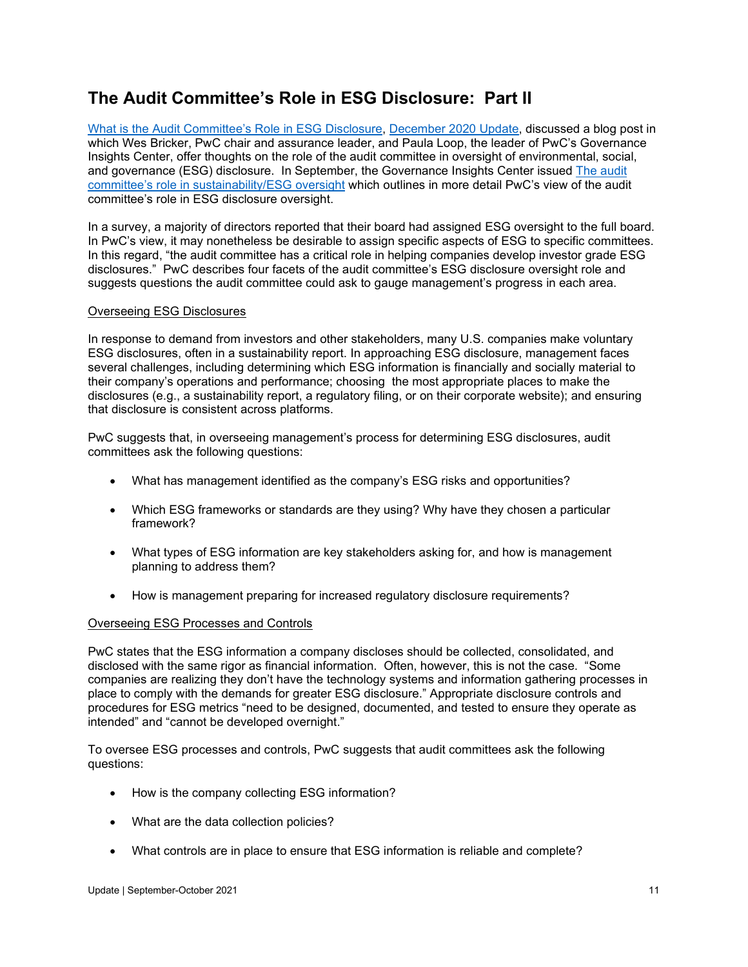# <span id="page-10-0"></span>**The Audit Committee's Role in ESG Disclosure: Part II**

[What is the Audit Committee's Role in ESG Disclosure,](https://www.auditupdate.com/post/what-is-the-audit-committee-s-role-in-esg-oversight) [December 2020 Update,](https://b65438bf-9321-45db-8f57-d57780f6c776.filesusr.com/ugd/6ebb47_055a2bf2728b4aeaaf8aad7728c53084.pdf) discussed a blog post in which Wes Bricker, PwC chair and assurance leader, and Paula Loop, the leader of PwC's Governance Insights Center, offer thoughts on the role of the audit committee in oversight of environmental, social, and governance (ESG) disclosure. In September, the Governance Insights Center issued [The audit](https://www.pwc.com/us/en/governance-insights-center/publications/assets/pwc-the-audit-committees-role-in-sustainability-esg-oversight.pdf)  [committee's role in sustainability/ESG oversight](https://www.pwc.com/us/en/governance-insights-center/publications/assets/pwc-the-audit-committees-role-in-sustainability-esg-oversight.pdf) which outlines in more detail PwC's view of the audit committee's role in ESG disclosure oversight.

In a survey, a majority of directors reported that their board had assigned ESG oversight to the full board. In PwC's view, it may nonetheless be desirable to assign specific aspects of ESG to specific committees. In this regard, "the audit committee has a critical role in helping companies develop investor grade ESG disclosures." PwC describes four facets of the audit committee's ESG disclosure oversight role and suggests questions the audit committee could ask to gauge management's progress in each area.

#### Overseeing ESG Disclosures

In response to demand from investors and other stakeholders, many U.S. companies make voluntary ESG disclosures, often in a sustainability report. In approaching ESG disclosure, management faces several challenges, including determining which ESG information is financially and socially material to their company's operations and performance; choosing the most appropriate places to make the disclosures (e.g., a sustainability report, a regulatory filing, or on their corporate website); and ensuring that disclosure is consistent across platforms.

PwC suggests that, in overseeing management's process for determining ESG disclosures, audit committees ask the following questions:

- What has management identified as the company's ESG risks and opportunities?
- Which ESG frameworks or standards are they using? Why have they chosen a particular framework?
- What types of ESG information are key stakeholders asking for, and how is management planning to address them?
- How is management preparing for increased regulatory disclosure requirements?

#### Overseeing ESG Processes and Controls

PwC states that the ESG information a company discloses should be collected, consolidated, and disclosed with the same rigor as financial information. Often, however, this is not the case. "Some companies are realizing they don't have the technology systems and information gathering processes in place to comply with the demands for greater ESG disclosure." Appropriate disclosure controls and procedures for ESG metrics "need to be designed, documented, and tested to ensure they operate as intended" and "cannot be developed overnight."

To oversee ESG processes and controls, PwC suggests that audit committees ask the following questions:

- How is the company collecting ESG information?
- What are the data collection policies?
- What controls are in place to ensure that ESG information is reliable and complete?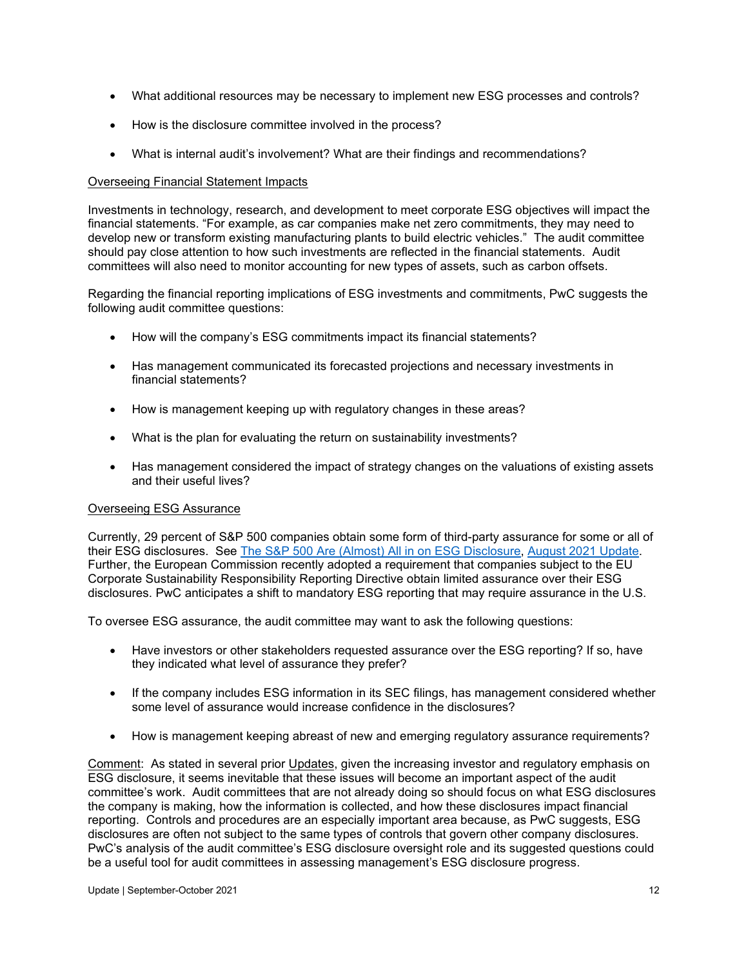- What additional resources may be necessary to implement new ESG processes and controls?
- How is the disclosure committee involved in the process?
- What is internal audit's involvement? What are their findings and recommendations?

#### Overseeing Financial Statement Impacts

Investments in technology, research, and development to meet corporate ESG objectives will impact the financial statements. "For example, as car companies make net zero commitments, they may need to develop new or transform existing manufacturing plants to build electric vehicles." The audit committee should pay close attention to how such investments are reflected in the financial statements. Audit committees will also need to monitor accounting for new types of assets, such as carbon offsets.

Regarding the financial reporting implications of ESG investments and commitments, PwC suggests the following audit committee questions:

- How will the company's ESG commitments impact its financial statements?
- Has management communicated its forecasted projections and necessary investments in financial statements?
- How is management keeping up with regulatory changes in these areas?
- What is the plan for evaluating the return on sustainability investments?
- Has management considered the impact of strategy changes on the valuations of existing assets and their useful lives?

#### Overseeing ESG Assurance

Currently, 29 percent of S&P 500 companies obtain some form of third-party assurance for some or all of their ESG disclosures. See [The S&P 500 Are \(Almost\) All in on ESG Disclosure,](https://www.auditupdate.com/post/the-s-p-500-are-almost-all-in-on-esg-disclosure) [August 2021 Update.](https://b65438bf-9321-45db-8f57-d57780f6c776.filesusr.com/ugd/6ebb47_42a039039adc48deac6571ff24e26c89.pdf)  Further, the European Commission recently adopted a requirement that companies subject to the EU Corporate Sustainability Responsibility Reporting Directive obtain limited assurance over their ESG disclosures. PwC anticipates a shift to mandatory ESG reporting that may require assurance in the U.S.

To oversee ESG assurance, the audit committee may want to ask the following questions:

- Have investors or other stakeholders requested assurance over the ESG reporting? If so, have they indicated what level of assurance they prefer?
- If the company includes ESG information in its SEC filings, has management considered whether some level of assurance would increase confidence in the disclosures?
- How is management keeping abreast of new and emerging regulatory assurance requirements?

Comment: As stated in several prior Updates, given the increasing investor and regulatory emphasis on ESG disclosure, it seems inevitable that these issues will become an important aspect of the audit committee's work. Audit committees that are not already doing so should focus on what ESG disclosures the company is making, how the information is collected, and how these disclosures impact financial reporting. Controls and procedures are an especially important area because, as PwC suggests, ESG disclosures are often not subject to the same types of controls that govern other company disclosures. PwC's analysis of the audit committee's ESG disclosure oversight role and its suggested questions could be a useful tool for audit committees in assessing management's ESG disclosure progress.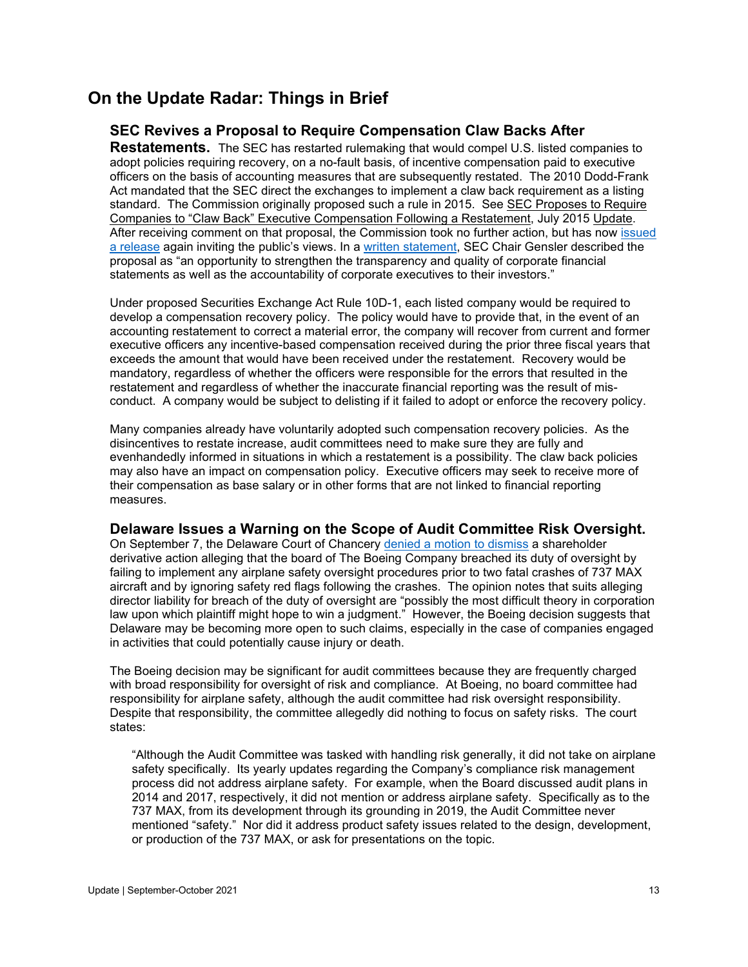### <span id="page-12-0"></span>**On the Update Radar: Things in Brief**

### <span id="page-12-1"></span>**SEC Revives a Proposal to Require Compensation Claw Backs After**

**Restatements.** The SEC has restarted rulemaking that would compel U.S. listed companies to adopt policies requiring recovery, on a no-fault basis, of incentive compensation paid to executive officers on the basis of accounting measures that are subsequently restated. The 2010 Dodd-Frank Act mandated that the SEC direct the exchanges to implement a claw back requirement as a listing standard. The Commission originally proposed such a rule in 2015. See SEC Proposes to Require Companies to "Claw Back" Executive Compensation Following a Restatement, July 2015 Update. After receiving comment on that proposal, the Commission took no further action, but has now [issued](https://www.sec.gov/rules/proposed/2021/33-10998.pdf?utm_medium=email&utm_source=govdelivery)  [a release](https://www.sec.gov/rules/proposed/2021/33-10998.pdf?utm_medium=email&utm_source=govdelivery) again inviting the public's views. In a [written statement,](https://www.sec.gov/news/public-statement/gensler-clawbacks-2021-10-14) SEC Chair Gensler described the proposal as "an opportunity to strengthen the transparency and quality of corporate financial statements as well as the accountability of corporate executives to their investors."

Under proposed Securities Exchange Act Rule 10D-1, each listed company would be required to develop a compensation recovery policy. The policy would have to provide that, in the event of an accounting restatement to correct a material error, the company will recover from current and former executive officers any incentive-based compensation received during the prior three fiscal years that exceeds the amount that would have been received under the restatement. Recovery would be mandatory, regardless of whether the officers were responsible for the errors that resulted in the restatement and regardless of whether the inaccurate financial reporting was the result of misconduct. A company would be subject to delisting if it failed to adopt or enforce the recovery policy.

Many companies already have voluntarily adopted such compensation recovery policies. As the disincentives to restate increase, audit committees need to make sure they are fully and evenhandedly informed in situations in which a restatement is a possibility. The claw back policies may also have an impact on compensation policy. Executive officers may seek to receive more of their compensation as base salary or in other forms that are not linked to financial reporting measures.

#### <span id="page-12-2"></span>**Delaware Issues a Warning on the Scope of Audit Committee Risk Oversight.**

On September 7, the Delaware Court of Chancery [denied a motion to dismiss](https://courts.delaware.gov/Opinions/Download.aspx?id=324120) a shareholder derivative action alleging that the board of The Boeing Company breached its duty of oversight by failing to implement any airplane safety oversight procedures prior to two fatal crashes of 737 MAX aircraft and by ignoring safety red flags following the crashes. The opinion notes that suits alleging director liability for breach of the duty of oversight are "possibly the most difficult theory in corporation law upon which plaintiff might hope to win a judgment." However, the Boeing decision suggests that Delaware may be becoming more open to such claims, especially in the case of companies engaged in activities that could potentially cause injury or death.

The Boeing decision may be significant for audit committees because they are frequently charged with broad responsibility for oversight of risk and compliance. At Boeing, no board committee had responsibility for airplane safety, although the audit committee had risk oversight responsibility. Despite that responsibility, the committee allegedly did nothing to focus on safety risks. The court states:

"Although the Audit Committee was tasked with handling risk generally, it did not take on airplane safety specifically. Its yearly updates regarding the Company's compliance risk management process did not address airplane safety. For example, when the Board discussed audit plans in 2014 and 2017, respectively, it did not mention or address airplane safety. Specifically as to the 737 MAX, from its development through its grounding in 2019, the Audit Committee never mentioned "safety." Nor did it address product safety issues related to the design, development, or production of the 737 MAX, or ask for presentations on the topic.